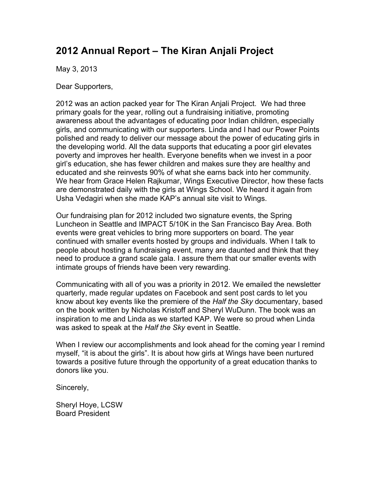# **2012 Annual Report – The Kiran Anjali Project**

May 3, 2013

Dear Supporters,

2012 was an action packed year for The Kiran Anjali Project. We had three primary goals for the year, rolling out a fundraising initiative, promoting awareness about the advantages of educating poor Indian children, especially girls, and communicating with our supporters. Linda and I had our Power Points polished and ready to deliver our message about the power of educating girls in the developing world. All the data supports that educating a poor girl elevates poverty and improves her health. Everyone benefits when we invest in a poor girl's education, she has fewer children and makes sure they are healthy and educated and she reinvests 90% of what she earns back into her community. We hear from Grace Helen Rajkumar, Wings Executive Director, how these facts are demonstrated daily with the girls at Wings School. We heard it again from Usha Vedagiri when she made KAP's annual site visit to Wings.

Our fundraising plan for 2012 included two signature events, the Spring Luncheon in Seattle and IMPACT 5/10K in the San Francisco Bay Area. Both events were great vehicles to bring more supporters on board. The year continued with smaller events hosted by groups and individuals. When I talk to people about hosting a fundraising event, many are daunted and think that they need to produce a grand scale gala. I assure them that our smaller events with intimate groups of friends have been very rewarding.

Communicating with all of you was a priority in 2012. We emailed the newsletter quarterly, made regular updates on Facebook and sent post cards to let you know about key events like the premiere of the *Half the Sky* documentary, based on the book written by Nicholas Kristoff and Sheryl WuDunn. The book was an inspiration to me and Linda as we started KAP. We were so proud when Linda was asked to speak at the *Half the Sky* event in Seattle.

When I review our accomplishments and look ahead for the coming year I remind myself, "it is about the girls". It is about how girls at Wings have been nurtured towards a positive future through the opportunity of a great education thanks to donors like you.

Sincerely,

Sheryl Hoye, LCSW Board President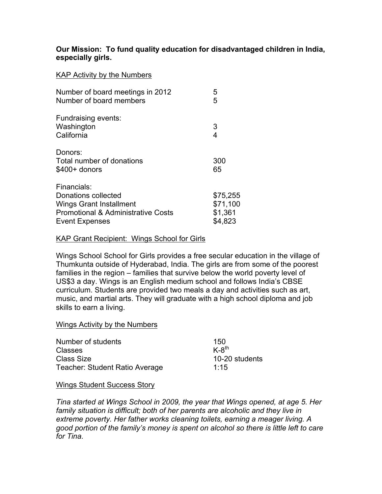## **Our Mission: To fund quality education for disadvantaged children in India, especially girls.**

### KAP Activity by the Numbers

| Number of board meetings in 2012<br>Number of board members                                                                                    | 5<br>5                                     |
|------------------------------------------------------------------------------------------------------------------------------------------------|--------------------------------------------|
| Fundraising events:<br>Washington<br>California                                                                                                | 3<br>4                                     |
| Donors:<br>Total number of donations<br>$$400+$ donors                                                                                         | 300<br>65                                  |
| Financials:<br>Donations collected<br><b>Wings Grant Installment</b><br><b>Promotional &amp; Administrative Costs</b><br><b>Event Expenses</b> | \$75,255<br>\$71,100<br>\$1,361<br>\$4,823 |

## KAP Grant Recipient: Wings School for Girls

Wings School School for Girls provides a free secular education in the village of Thumkunta outside of Hyderabad, India. The girls are from some of the poorest families in the region – families that survive below the world poverty level of US\$3 a day. Wings is an English medium school and follows India's CBSE curriculum. Students are provided two meals a day and activities such as art, music, and martial arts. They will graduate with a high school diploma and job skills to earn a living.

#### Wings Activity by the Numbers

| Number of students                    | 150            |
|---------------------------------------|----------------|
| <b>Classes</b>                        | $K-8^{th}$     |
| Class Size                            | 10-20 students |
| <b>Teacher: Student Ratio Average</b> | 1:15           |

#### Wings Student Success Story

*Tina started at Wings School in 2009, the year that Wings opened, at age 5. Her family situation is difficult; both of her parents are alcoholic and they live in extreme poverty. Her father works cleaning toilets, earning a meager living. A good portion of the family's money is spent on alcohol so there is little left to care for Tina.*